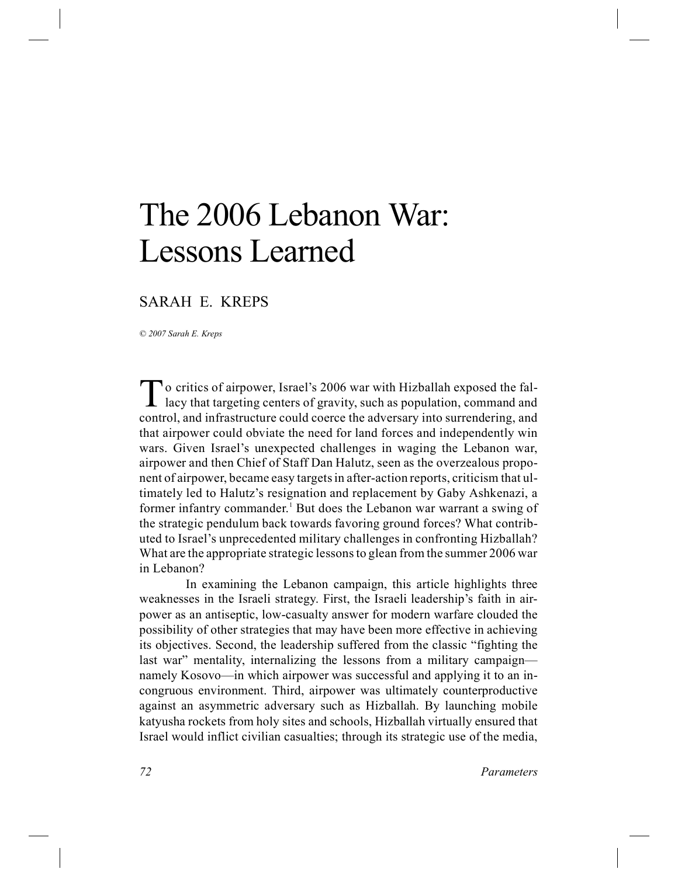# The 2006 Lebanon War: Lessons Learned

## SARAH E. KREPS

*© 2007 Sarah E. Kreps*

To critics of airpower, Israel's 2006 war with Hizballah exposed the fall-<br>lacy that targeting centers of gravity, such as population, command and lacy that targeting centers of gravity, such as population, command and control, and infrastructure could coerce the adversary into surrendering, and that airpower could obviate the need for land forces and independently win wars. Given Israel's unexpected challenges in waging the Lebanon war, airpower and then Chief of Staff Dan Halutz, seen as the overzealous proponent of airpower, became easy targets in after-action reports, criticism that ultimately led to Halutz's resignation and replacement by Gaby Ashkenazi, a former infantry commander.<sup>1</sup> But does the Lebanon war warrant a swing of the strategic pendulum back towards favoring ground forces? What contributed to Israel's unprecedented military challenges in confronting Hizballah? What are the appropriate strategic lessons to glean from the summer 2006 war in Lebanon?

In examining the Lebanon campaign, this article highlights three weaknesses in the Israeli strategy. First, the Israeli leadership's faith in airpower as an antiseptic, low-casualty answer for modern warfare clouded the possibility of other strategies that may have been more effective in achieving its objectives. Second, the leadership suffered from the classic "fighting the last war" mentality, internalizing the lessons from a military campaign namely Kosovo—in which airpower was successful and applying it to an incongruous environment. Third, airpower was ultimately counterproductive against an asymmetric adversary such as Hizballah. By launching mobile katyusha rockets from holy sites and schools, Hizballah virtually ensured that Israel would inflict civilian casualties; through its strategic use of the media,

*72 Parameters*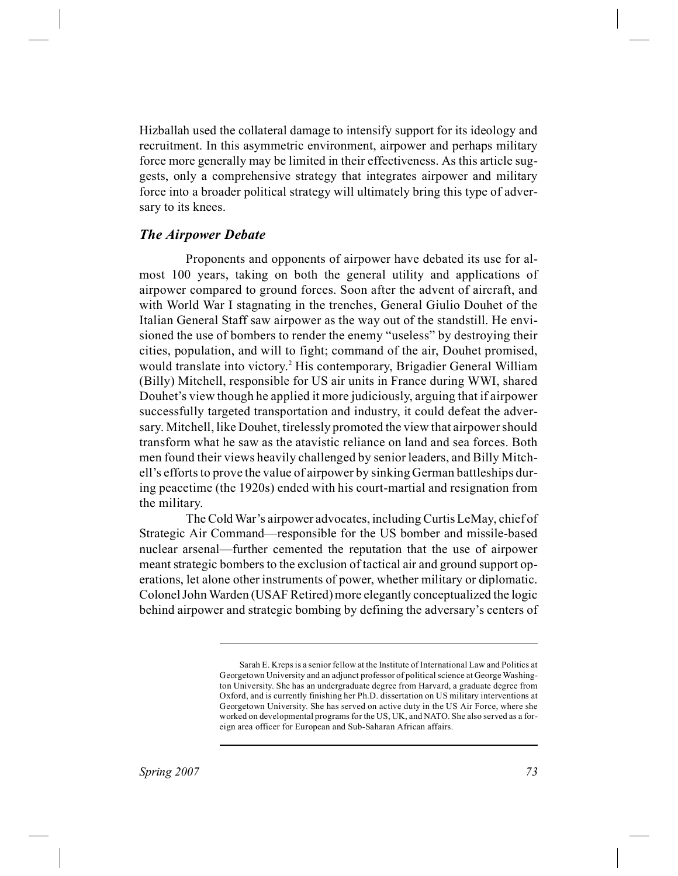Hizballah used the collateral damage to intensify support for its ideology and recruitment. In this asymmetric environment, airpower and perhaps military force more generally may be limited in their effectiveness. As this article suggests, only a comprehensive strategy that integrates airpower and military force into a broader political strategy will ultimately bring this type of adversary to its knees.

#### *The Airpower Debate*

Proponents and opponents of airpower have debated its use for almost 100 years, taking on both the general utility and applications of airpower compared to ground forces. Soon after the advent of aircraft, and with World War I stagnating in the trenches, General Giulio Douhet of the Italian General Staff saw airpower as the way out of the standstill. He envisioned the use of bombers to render the enemy "useless" by destroying their cities, population, and will to fight; command of the air, Douhet promised, would translate into victory.<sup>2</sup> His contemporary, Brigadier General William (Billy) Mitchell, responsible for US air units in France during WWI, shared Douhet's view though he applied it more judiciously, arguing that if airpower successfully targeted transportation and industry, it could defeat the adversary. Mitchell, like Douhet, tirelessly promoted the view that airpower should transform what he saw as the atavistic reliance on land and sea forces. Both men found their views heavily challenged by senior leaders, and Billy Mitchell's efforts to prove the value of airpower by sinking German battleships during peacetime (the 1920s) ended with his court-martial and resignation from the military.

The Cold War's airpower advocates, including Curtis LeMay, chief of Strategic Air Command—responsible for the US bomber and missile-based nuclear arsenal—further cemented the reputation that the use of airpower meant strategic bombers to the exclusion of tactical air and ground support operations, let alone other instruments of power, whether military or diplomatic. Colonel John Warden (USAF Retired) more elegantly conceptualized the logic behind airpower and strategic bombing by defining the adversary's centers of

Sarah E. Kreps is a senior fellow at the Institute of International Law and Politics at Georgetown University and an adjunct professor of political science at George Washington University. She has an undergraduate degree from Harvard, a graduate degree from Oxford, and is currently finishing her Ph.D. dissertation on US military interventions at Georgetown University. She has served on active duty in the US Air Force, where she worked on developmental programs for the US, UK, and NATO. She also served as a foreign area officer for European and Sub-Saharan African affairs.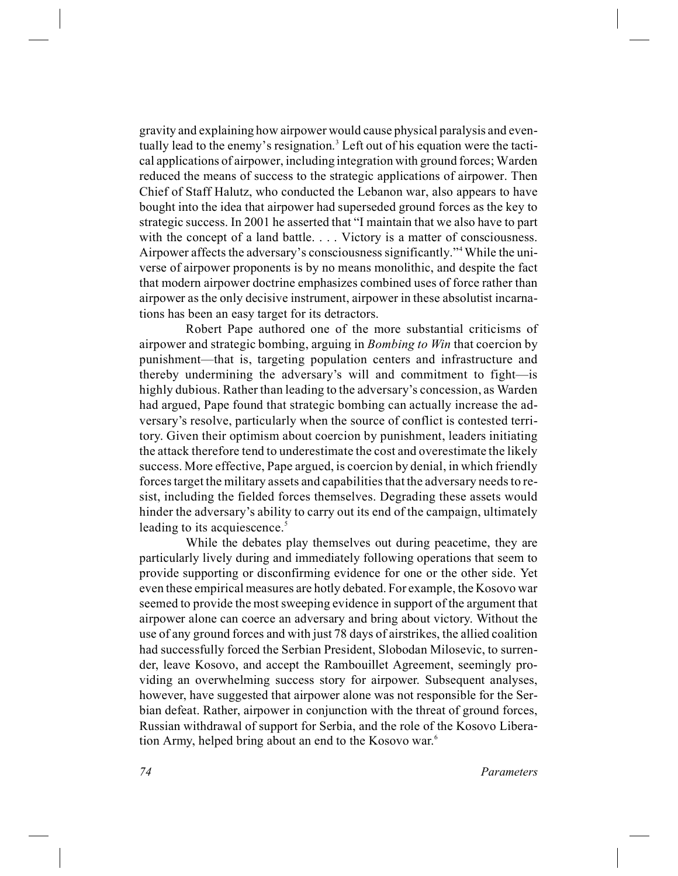gravity and explaining how airpower would cause physical paralysis and eventually lead to the enemy's resignation.<sup>3</sup> Left out of his equation were the tactical applications of airpower, including integration with ground forces; Warden reduced the means of success to the strategic applications of airpower. Then Chief of Staff Halutz, who conducted the Lebanon war, also appears to have bought into the idea that airpower had superseded ground forces as the key to strategic success. In 2001 he asserted that "I maintain that we also have to part with the concept of a land battle. . . . Victory is a matter of consciousness. Airpower affects the adversary's consciousness significantly."4While the universe of airpower proponents is by no means monolithic, and despite the fact that modern airpower doctrine emphasizes combined uses of force rather than airpower as the only decisive instrument, airpower in these absolutist incarnations has been an easy target for its detractors.

Robert Pape authored one of the more substantial criticisms of airpower and strategic bombing, arguing in *Bombing to Win* that coercion by punishment—that is, targeting population centers and infrastructure and thereby undermining the adversary's will and commitment to fight—is highly dubious. Rather than leading to the adversary's concession, as Warden had argued, Pape found that strategic bombing can actually increase the adversary's resolve, particularly when the source of conflict is contested territory. Given their optimism about coercion by punishment, leaders initiating the attack therefore tend to underestimate the cost and overestimate the likely success. More effective, Pape argued, is coercion by denial, in which friendly forces target the military assets and capabilities that the adversary needs to resist, including the fielded forces themselves. Degrading these assets would hinder the adversary's ability to carry out its end of the campaign, ultimately leading to its acquiescence.<sup>5</sup>

While the debates play themselves out during peacetime, they are particularly lively during and immediately following operations that seem to provide supporting or disconfirming evidence for one or the other side. Yet even these empirical measures are hotly debated. For example, the Kosovo war seemed to provide the most sweeping evidence in support of the argument that airpower alone can coerce an adversary and bring about victory. Without the use of any ground forces and with just 78 days of airstrikes, the allied coalition had successfully forced the Serbian President, Slobodan Milosevic, to surrender, leave Kosovo, and accept the Rambouillet Agreement, seemingly providing an overwhelming success story for airpower. Subsequent analyses, however, have suggested that airpower alone was not responsible for the Serbian defeat. Rather, airpower in conjunction with the threat of ground forces, Russian withdrawal of support for Serbia, and the role of the Kosovo Liberation Army, helped bring about an end to the Kosovo war.<sup>6</sup>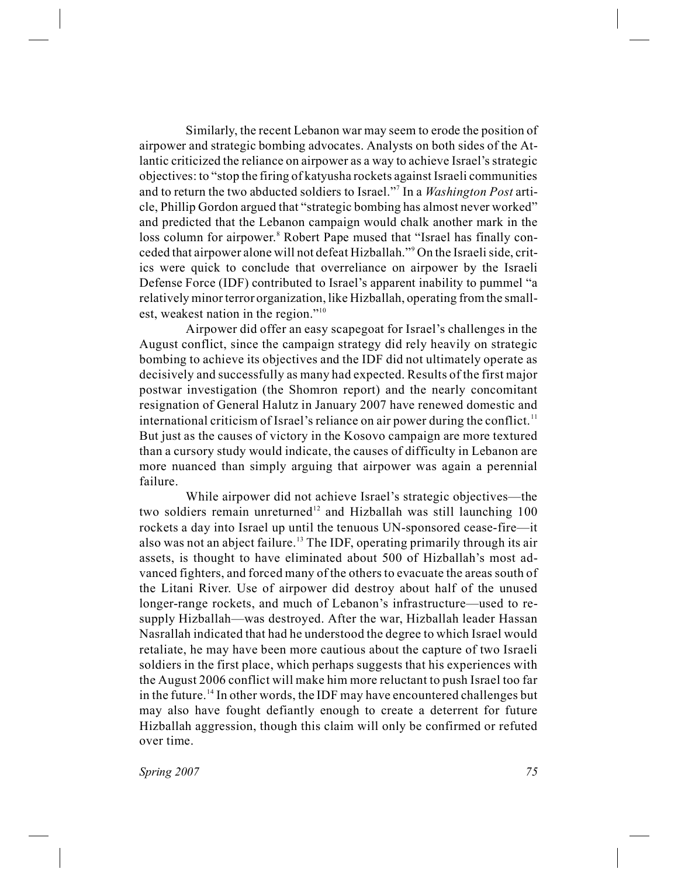Similarly, the recent Lebanon war may seem to erode the position of airpower and strategic bombing advocates. Analysts on both sides of the Atlantic criticized the reliance on airpower as a way to achieve Israel's strategic objectives: to "stop the firing of katyusha rockets against Israeli communities and to return the two abducted soldiers to Israel."<sup>7</sup> In a *Washington Post* article, Phillip Gordon argued that "strategic bombing has almost never worked" and predicted that the Lebanon campaign would chalk another mark in the loss column for airpower.<sup>8</sup> Robert Pape mused that "Israel has finally conceded that airpower alone will not defeat Hizballah."<sup>9</sup> On the Israeli side, critics were quick to conclude that overreliance on airpower by the Israeli Defense Force (IDF) contributed to Israel's apparent inability to pummel "a relatively minor terror organization, like Hizballah, operating from the smallest, weakest nation in the region."<sup>10</sup>

Airpower did offer an easy scapegoat for Israel's challenges in the August conflict, since the campaign strategy did rely heavily on strategic bombing to achieve its objectives and the IDF did not ultimately operate as decisively and successfully as many had expected. Results of the first major postwar investigation (the Shomron report) and the nearly concomitant resignation of General Halutz in January 2007 have renewed domestic and international criticism of Israel's reliance on air power during the conflict.<sup>11</sup> But just as the causes of victory in the Kosovo campaign are more textured than a cursory study would indicate, the causes of difficulty in Lebanon are more nuanced than simply arguing that airpower was again a perennial failure.

While airpower did not achieve Israel's strategic objectives—the two soldiers remain unreturned<sup>12</sup> and Hizballah was still launching  $100$ rockets a day into Israel up until the tenuous UN-sponsored cease-fire—it also was not an abject failure.<sup>13</sup> The IDF, operating primarily through its air assets, is thought to have eliminated about 500 of Hizballah's most advanced fighters, and forced many of the others to evacuate the areas south of the Litani River. Use of airpower did destroy about half of the unused longer-range rockets, and much of Lebanon's infrastructure—used to resupply Hizballah—was destroyed. After the war, Hizballah leader Hassan Nasrallah indicated that had he understood the degree to which Israel would retaliate, he may have been more cautious about the capture of two Israeli soldiers in the first place, which perhaps suggests that his experiences with the August 2006 conflict will make him more reluctant to push Israel too far in the future.<sup>14</sup> In other words, the IDF may have encountered challenges but may also have fought defiantly enough to create a deterrent for future Hizballah aggression, though this claim will only be confirmed or refuted over time.

*Spring 2007 75*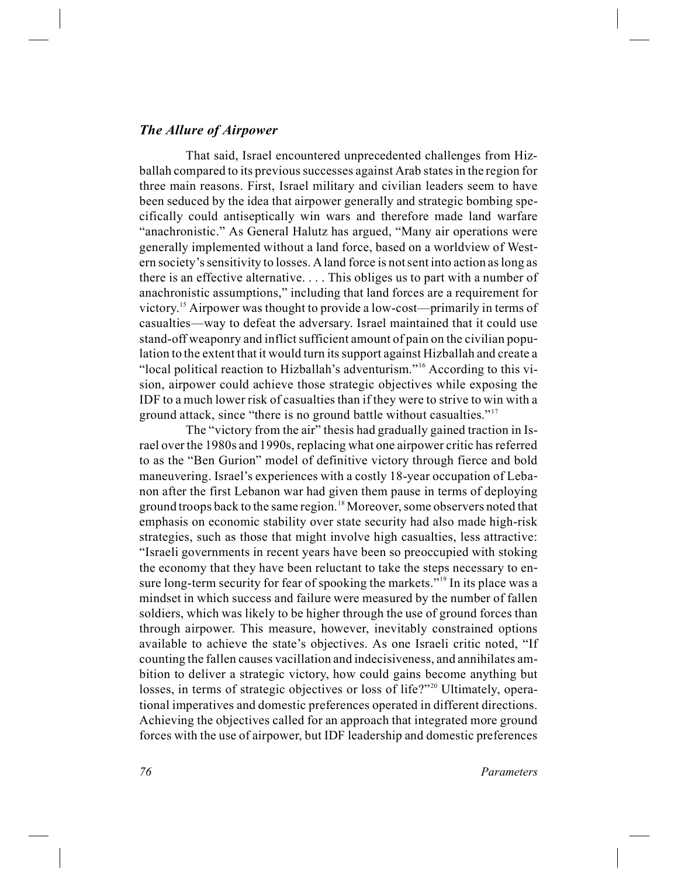#### *The Allure of Airpower*

That said, Israel encountered unprecedented challenges from Hizballah compared to its previous successes against Arab states in the region for three main reasons. First, Israel military and civilian leaders seem to have been seduced by the idea that airpower generally and strategic bombing specifically could antiseptically win wars and therefore made land warfare "anachronistic." As General Halutz has argued, "Many air operations were generally implemented without a land force, based on a worldview of Western society's sensitivity to losses. Aland force is not sent into action as long as there is an effective alternative. . . . This obliges us to part with a number of anachronistic assumptions," including that land forces are a requirement for victory.<sup>15</sup> Airpower was thought to provide a low-cost—primarily in terms of casualties—way to defeat the adversary. Israel maintained that it could use stand-off weaponry and inflict sufficient amount of pain on the civilian population to the extent that it would turn its support against Hizballah and create a "local political reaction to Hizballah's adventurism."<sup>16</sup> According to this vision, airpower could achieve those strategic objectives while exposing the IDF to a much lower risk of casualties than if they were to strive to win with a ground attack, since "there is no ground battle without casualties."<sup>17</sup>

The "victory from the air" thesis had gradually gained traction in Israel over the 1980s and 1990s, replacing what one airpower critic has referred to as the "Ben Gurion" model of definitive victory through fierce and bold maneuvering. Israel's experiences with a costly 18-year occupation of Lebanon after the first Lebanon war had given them pause in terms of deploying ground troops back to the same region.<sup>18</sup> Moreover, some observers noted that emphasis on economic stability over state security had also made high-risk strategies, such as those that might involve high casualties, less attractive: "Israeli governments in recent years have been so preoccupied with stoking the economy that they have been reluctant to take the steps necessary to ensure long-term security for fear of spooking the markets."<sup>19</sup> In its place was a mindset in which success and failure were measured by the number of fallen soldiers, which was likely to be higher through the use of ground forces than through airpower. This measure, however, inevitably constrained options available to achieve the state's objectives. As one Israeli critic noted, "If counting the fallen causes vacillation and indecisiveness, and annihilates ambition to deliver a strategic victory, how could gains become anything but losses, in terms of strategic objectives or loss of life?"<sup>20</sup> Ultimately, operational imperatives and domestic preferences operated in different directions. Achieving the objectives called for an approach that integrated more ground forces with the use of airpower, but IDF leadership and domestic preferences

*76 Parameters*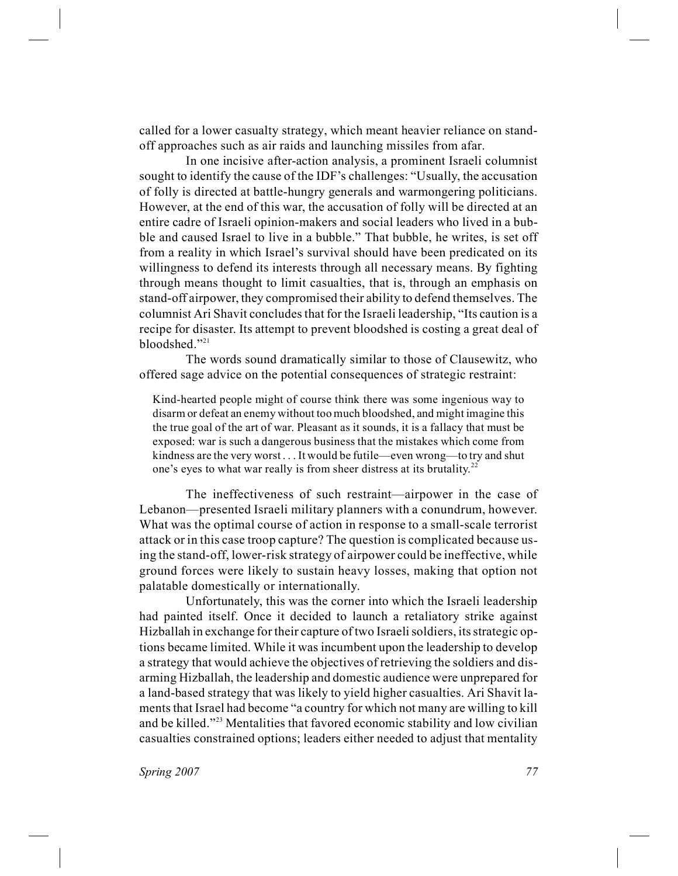called for a lower casualty strategy, which meant heavier reliance on standoff approaches such as air raids and launching missiles from afar.

In one incisive after-action analysis, a prominent Israeli columnist sought to identify the cause of the IDF's challenges: "Usually, the accusation of folly is directed at battle-hungry generals and warmongering politicians. However, at the end of this war, the accusation of folly will be directed at an entire cadre of Israeli opinion-makers and social leaders who lived in a bubble and caused Israel to live in a bubble." That bubble, he writes, is set off from a reality in which Israel's survival should have been predicated on its willingness to defend its interests through all necessary means. By fighting through means thought to limit casualties, that is, through an emphasis on stand-off airpower, they compromised their ability to defend themselves. The columnist Ari Shavit concludes that for the Israeli leadership, "Its caution is a recipe for disaster. Its attempt to prevent bloodshed is costing a great deal of bloodshed."<sup>21</sup>

The words sound dramatically similar to those of Clausewitz, who offered sage advice on the potential consequences of strategic restraint:

Kind-hearted people might of course think there was some ingenious way to disarm or defeat an enemy without too much bloodshed, and might imagine this the true goal of the art of war. Pleasant as it sounds, it is a fallacy that must be exposed: war is such a dangerous business that the mistakes which come from kindness are the very worst . . . It would be futile—even wrong—to try and shut one's eyes to what war really is from sheer distress at its brutality.<sup>22</sup>

The ineffectiveness of such restraint—airpower in the case of Lebanon—presented Israeli military planners with a conundrum, however. What was the optimal course of action in response to a small-scale terrorist attack or in this case troop capture? The question is complicated because using the stand-off, lower-risk strategy of airpower could be ineffective, while ground forces were likely to sustain heavy losses, making that option not palatable domestically or internationally.

Unfortunately, this was the corner into which the Israeli leadership had painted itself. Once it decided to launch a retaliatory strike against Hizballah in exchange for their capture of two Israeli soldiers, its strategic options became limited. While it was incumbent upon the leadership to develop a strategy that would achieve the objectives of retrieving the soldiers and disarming Hizballah, the leadership and domestic audience were unprepared for a land-based strategy that was likely to yield higher casualties. Ari Shavit laments that Israel had become "a country for which not many are willing to kill and be killed."<sup>23</sup> Mentalities that favored economic stability and low civilian casualties constrained options; leaders either needed to adjust that mentality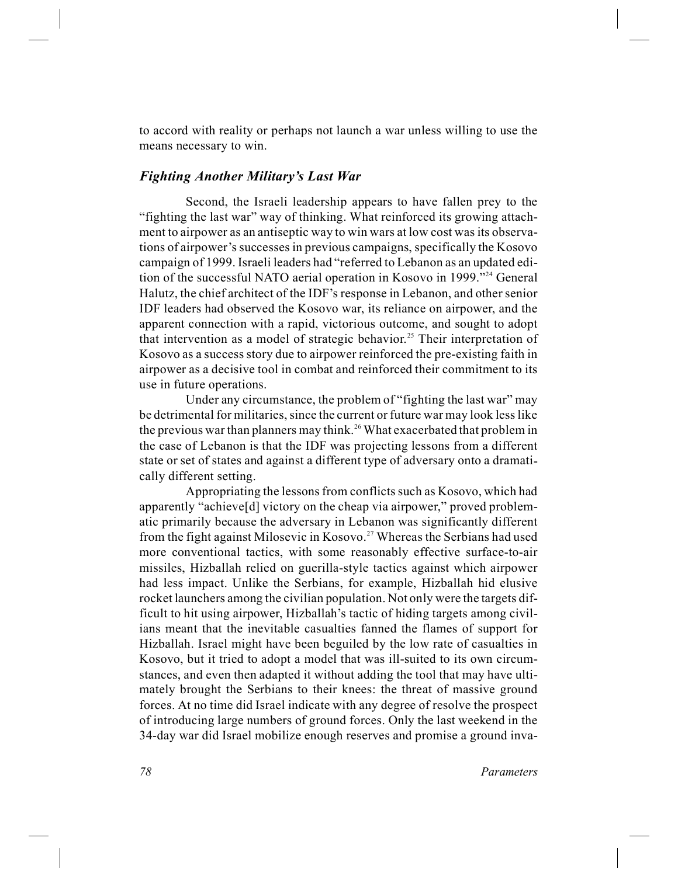to accord with reality or perhaps not launch a war unless willing to use the means necessary to win.

### *Fighting Another Military's Last War*

Second, the Israeli leadership appears to have fallen prey to the "fighting the last war" way of thinking. What reinforced its growing attachment to airpower as an antiseptic way to win wars at low cost was its observations of airpower's successes in previous campaigns, specifically the Kosovo campaign of 1999. Israeli leaders had "referred to Lebanon as an updated edition of the successful NATO aerial operation in Kosovo in 1999."<sup>24</sup> General Halutz, the chief architect of the IDF's response in Lebanon, and other senior IDF leaders had observed the Kosovo war, its reliance on airpower, and the apparent connection with a rapid, victorious outcome, and sought to adopt that intervention as a model of strategic behavior.<sup>25</sup> Their interpretation of Kosovo as a success story due to airpower reinforced the pre-existing faith in airpower as a decisive tool in combat and reinforced their commitment to its use in future operations.

Under any circumstance, the problem of "fighting the last war" may be detrimental for militaries, since the current or future war may look less like the previous war than planners may think.<sup>26</sup> What exacerbated that problem in the case of Lebanon is that the IDF was projecting lessons from a different state or set of states and against a different type of adversary onto a dramatically different setting.

Appropriating the lessons from conflicts such as Kosovo, which had apparently "achieve[d] victory on the cheap via airpower," proved problematic primarily because the adversary in Lebanon was significantly different from the fight against Milosevic in Kosovo.<sup>27</sup> Whereas the Serbians had used more conventional tactics, with some reasonably effective surface-to-air missiles, Hizballah relied on guerilla-style tactics against which airpower had less impact. Unlike the Serbians, for example, Hizballah hid elusive rocket launchers among the civilian population. Not only were the targets difficult to hit using airpower, Hizballah's tactic of hiding targets among civilians meant that the inevitable casualties fanned the flames of support for Hizballah. Israel might have been beguiled by the low rate of casualties in Kosovo, but it tried to adopt a model that was ill-suited to its own circumstances, and even then adapted it without adding the tool that may have ultimately brought the Serbians to their knees: the threat of massive ground forces. At no time did Israel indicate with any degree of resolve the prospect of introducing large numbers of ground forces. Only the last weekend in the 34-day war did Israel mobilize enough reserves and promise a ground inva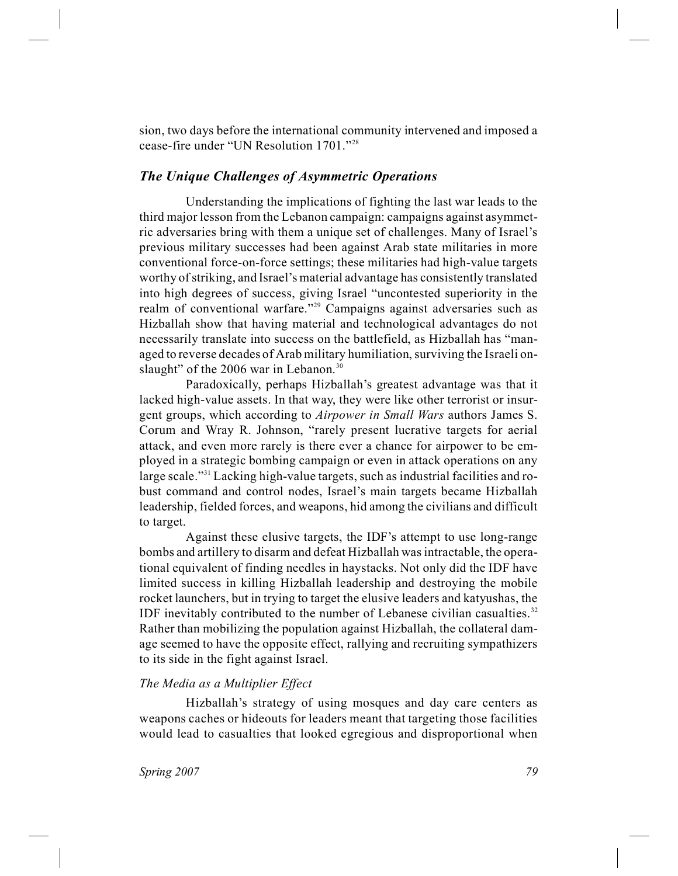sion, two days before the international community intervened and imposed a cease-fire under "UN Resolution 1701."<sup>28</sup>

## *The Unique Challenges of Asymmetric Operations*

Understanding the implications of fighting the last war leads to the third major lesson from the Lebanon campaign: campaigns against asymmetric adversaries bring with them a unique set of challenges. Many of Israel's previous military successes had been against Arab state militaries in more conventional force-on-force settings; these militaries had high-value targets worthy of striking, and Israel's material advantage has consistently translated into high degrees of success, giving Israel "uncontested superiority in the realm of conventional warfare."<sup>29</sup> Campaigns against adversaries such as Hizballah show that having material and technological advantages do not necessarily translate into success on the battlefield, as Hizballah has "managed to reverse decades of Arab military humiliation, surviving the Israeli onslaught" of the 2006 war in Lebanon. $30$ 

Paradoxically, perhaps Hizballah's greatest advantage was that it lacked high-value assets. In that way, they were like other terrorist or insurgent groups, which according to *Airpower in Small Wars* authors James S. Corum and Wray R. Johnson, "rarely present lucrative targets for aerial attack, and even more rarely is there ever a chance for airpower to be employed in a strategic bombing campaign or even in attack operations on any large scale."<sup>31</sup> Lacking high-value targets, such as industrial facilities and robust command and control nodes, Israel's main targets became Hizballah leadership, fielded forces, and weapons, hid among the civilians and difficult to target.

Against these elusive targets, the IDF's attempt to use long-range bombs and artillery to disarm and defeat Hizballah was intractable, the operational equivalent of finding needles in haystacks. Not only did the IDF have limited success in killing Hizballah leadership and destroying the mobile rocket launchers, but in trying to target the elusive leaders and katyushas, the IDF inevitably contributed to the number of Lebanese civilian casualties. $32$ Rather than mobilizing the population against Hizballah, the collateral damage seemed to have the opposite effect, rallying and recruiting sympathizers to its side in the fight against Israel.

#### *The Media as a Multiplier Effect*

Hizballah's strategy of using mosques and day care centers as weapons caches or hideouts for leaders meant that targeting those facilities would lead to casualties that looked egregious and disproportional when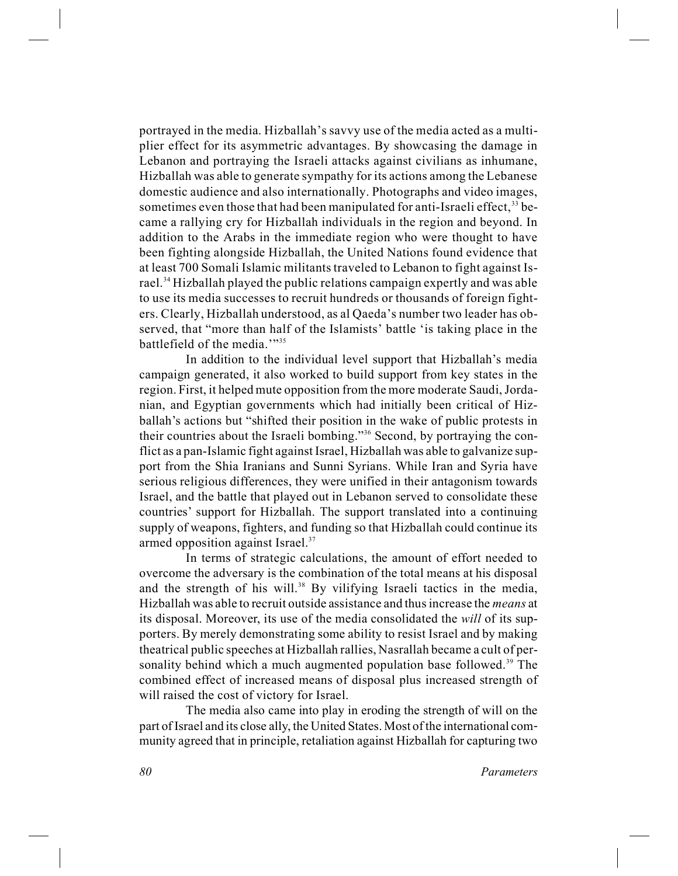portrayed in the media. Hizballah's savvy use of the media acted as a multiplier effect for its asymmetric advantages. By showcasing the damage in Lebanon and portraying the Israeli attacks against civilians as inhumane, Hizballah was able to generate sympathy for its actions among the Lebanese domestic audience and also internationally. Photographs and video images, sometimes even those that had been manipulated for anti-Israeli effect,<sup>33</sup> became a rallying cry for Hizballah individuals in the region and beyond. In addition to the Arabs in the immediate region who were thought to have been fighting alongside Hizballah, the United Nations found evidence that at least 700 Somali Islamic militants traveled to Lebanon to fight against Israel.<sup>34</sup> Hizballah played the public relations campaign expertly and was able to use its media successes to recruit hundreds or thousands of foreign fighters. Clearly, Hizballah understood, as al Qaeda's number two leader has observed, that "more than half of the Islamists' battle 'is taking place in the battlefield of the media.'"35

In addition to the individual level support that Hizballah's media campaign generated, it also worked to build support from key states in the region. First, it helped mute opposition from the more moderate Saudi, Jordanian, and Egyptian governments which had initially been critical of Hizballah's actions but "shifted their position in the wake of public protests in their countries about the Israeli bombing."<sup>36</sup> Second, by portraying the conflict as a pan-Islamic fight against Israel, Hizballah was able to galvanize support from the Shia Iranians and Sunni Syrians. While Iran and Syria have serious religious differences, they were unified in their antagonism towards Israel, and the battle that played out in Lebanon served to consolidate these countries' support for Hizballah. The support translated into a continuing supply of weapons, fighters, and funding so that Hizballah could continue its armed opposition against Israel.<sup>37</sup>

In terms of strategic calculations, the amount of effort needed to overcome the adversary is the combination of the total means at his disposal and the strength of his will.<sup>38</sup> By vilifying Israeli tactics in the media, Hizballah was able to recruit outside assistance and thus increase the *means* at its disposal. Moreover, its use of the media consolidated the *will* of its supporters. By merely demonstrating some ability to resist Israel and by making theatrical public speeches at Hizballah rallies, Nasrallah became a cult of personality behind which a much augmented population base followed.<sup>39</sup> The combined effect of increased means of disposal plus increased strength of will raised the cost of victory for Israel.

The media also came into play in eroding the strength of will on the part of Israel and its close ally, the United States. Most of the international community agreed that in principle, retaliation against Hizballah for capturing two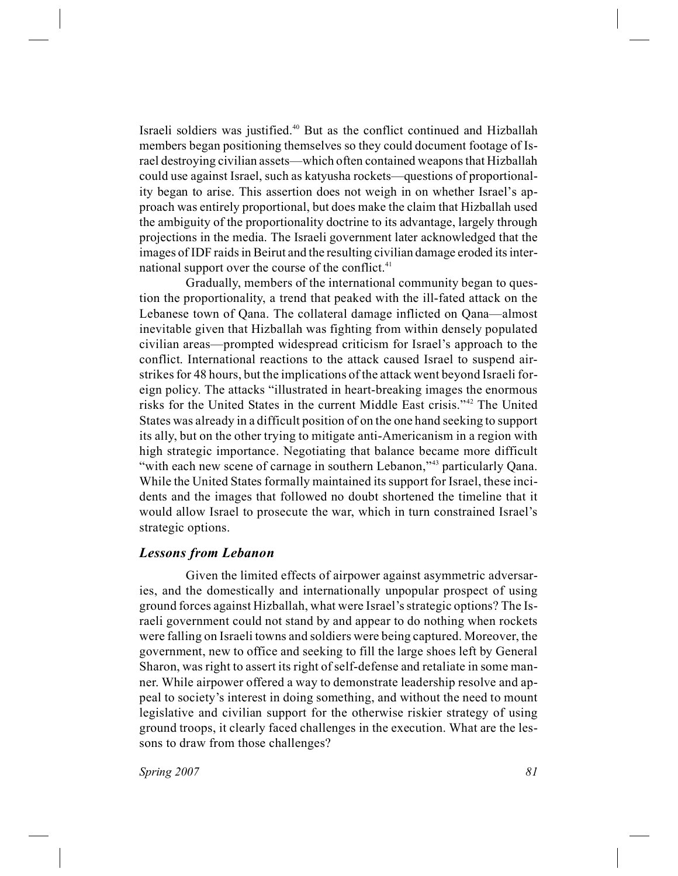Israeli soldiers was justified.<sup>40</sup> But as the conflict continued and Hizballah members began positioning themselves so they could document footage of Israel destroying civilian assets—which often contained weapons that Hizballah could use against Israel, such as katyusha rockets—questions of proportionality began to arise. This assertion does not weigh in on whether Israel's approach was entirely proportional, but does make the claim that Hizballah used the ambiguity of the proportionality doctrine to its advantage, largely through projections in the media. The Israeli government later acknowledged that the images of IDF raids in Beirut and the resulting civilian damage eroded its international support over the course of the conflict. $41$ 

Gradually, members of the international community began to question the proportionality, a trend that peaked with the ill-fated attack on the Lebanese town of Qana. The collateral damage inflicted on Qana—almost inevitable given that Hizballah was fighting from within densely populated civilian areas—prompted widespread criticism for Israel's approach to the conflict. International reactions to the attack caused Israel to suspend airstrikes for 48 hours, but the implications of the attack went beyond Israeli foreign policy. The attacks "illustrated in heart-breaking images the enormous risks for the United States in the current Middle East crisis."<sup>42</sup> The United States was already in a difficult position of on the one hand seeking to support its ally, but on the other trying to mitigate anti-Americanism in a region with high strategic importance. Negotiating that balance became more difficult "with each new scene of carnage in southern Lebanon,"<sup>43</sup> particularly Qana. While the United States formally maintained its support for Israel, these incidents and the images that followed no doubt shortened the timeline that it would allow Israel to prosecute the war, which in turn constrained Israel's strategic options.

## *Lessons from Lebanon*

Given the limited effects of airpower against asymmetric adversaries, and the domestically and internationally unpopular prospect of using ground forces against Hizballah, what were Israel's strategic options? The Israeli government could not stand by and appear to do nothing when rockets were falling on Israeli towns and soldiers were being captured. Moreover, the government, new to office and seeking to fill the large shoes left by General Sharon, was right to assert its right of self-defense and retaliate in some manner. While airpower offered a way to demonstrate leadership resolve and appeal to society's interest in doing something, and without the need to mount legislative and civilian support for the otherwise riskier strategy of using ground troops, it clearly faced challenges in the execution. What are the lessons to draw from those challenges?

*Spring 2007 81*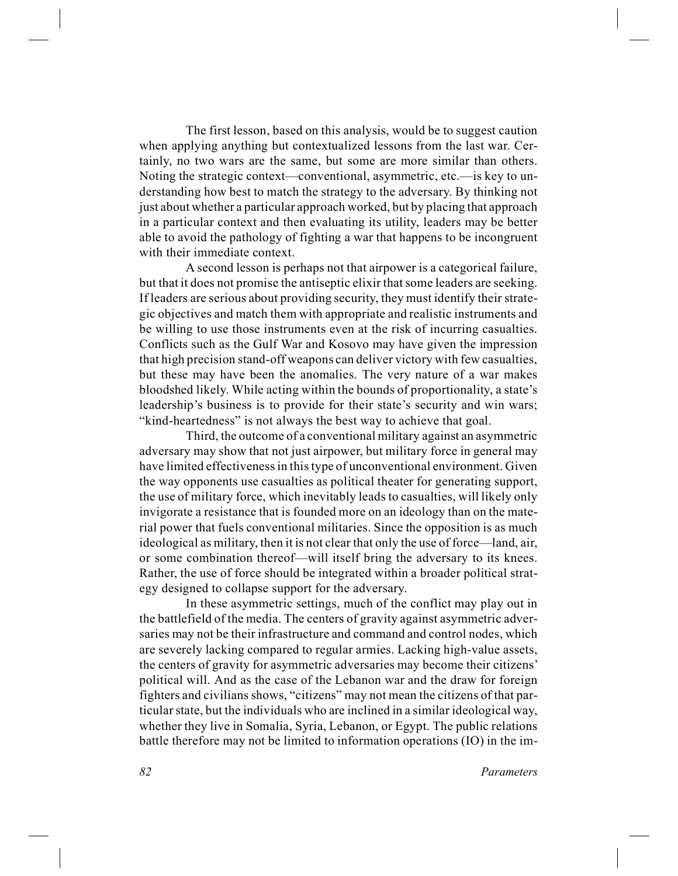The first lesson, based on this analysis, would be to suggest caution when applying anything but contextualized lessons from the last war. Certainly, no two wars are the same, but some are more similar than others. Noting the strategic context—conventional, asymmetric, etc.—is key to understanding how best to match the strategy to the adversary. By thinking not just about whether a particular approach worked, but by placing that approach in a particular context and then evaluating its utility, leaders may be better able to avoid the pathology of fighting a war that happens to be incongruent with their immediate context.

A second lesson is perhaps not that airpower is a categorical failure, but that it does not promise the antiseptic elixir that some leaders are seeking. If leaders are serious about providing security, they must identify their strategic objectives and match them with appropriate and realistic instruments and be willing to use those instruments even at the risk of incurring casualties. Conflicts such as the Gulf War and Kosovo may have given the impression that high precision stand-off weapons can deliver victory with few casualties, but these may have been the anomalies. The very nature of a war makes bloodshed likely. While acting within the bounds of proportionality, a state's leadership's business is to provide for their state's security and win wars; "kind-heartedness" is not always the best way to achieve that goal.

Third, the outcome of a conventional military against an asymmetric adversary may show that not just airpower, but military force in general may have limited effectiveness in this type of unconventional environment. Given the way opponents use casualties as political theater for generating support, the use of military force, which inevitably leads to casualties, will likely only invigorate a resistance that is founded more on an ideology than on the material power that fuels conventional militaries. Since the opposition is as much ideological as military, then it is not clear that only the use of force—land, air, or some combination thereof—will itself bring the adversary to its knees. Rather, the use of force should be integrated within a broader political strategy designed to collapse support for the adversary.

In these asymmetric settings, much of the conflict may play out in the battlefield of the media. The centers of gravity against asymmetric adversaries may not be their infrastructure and command and control nodes, which are severely lacking compared to regular armies. Lacking high-value assets, the centers of gravity for asymmetric adversaries may become their citizens' political will. And as the case of the Lebanon war and the draw for foreign fighters and civilians shows, "citizens" may not mean the citizens of that particular state, but the individuals who are inclined in a similar ideological way, whether they live in Somalia, Syria, Lebanon, or Egypt. The public relations battle therefore may not be limited to information operations (IO) in the im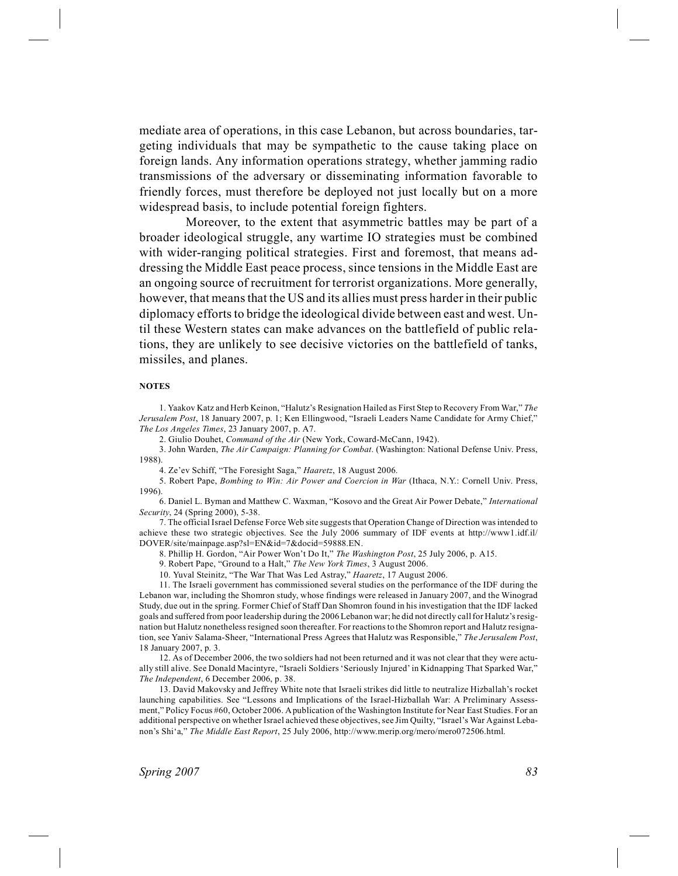mediate area of operations, in this case Lebanon, but across boundaries, targeting individuals that may be sympathetic to the cause taking place on foreign lands. Any information operations strategy, whether jamming radio transmissions of the adversary or disseminating information favorable to friendly forces, must therefore be deployed not just locally but on a more widespread basis, to include potential foreign fighters.

Moreover, to the extent that asymmetric battles may be part of a broader ideological struggle, any wartime IO strategies must be combined with wider-ranging political strategies. First and foremost, that means addressing the Middle East peace process, since tensions in the Middle East are an ongoing source of recruitment for terrorist organizations. More generally, however, that means that the US and its allies must press harder in their public diplomacy efforts to bridge the ideological divide between east and west. Until these Western states can make advances on the battlefield of public relations, they are unlikely to see decisive victories on the battlefield of tanks, missiles, and planes.

#### **NOTES**

1. Yaakov Katz and Herb Keinon, "Halutz's Resignation Hailed as First Step to Recovery From War," *The Jerusalem Post*, 18 January 2007, p. 1; Ken Ellingwood, "Israeli Leaders Name Candidate for Army Chief," *The Los Angeles Times*, 23 January 2007, p. A7.

2. Giulio Douhet, *Command of the Air* (New York, Coward-McCann, 1942).

3. John Warden, *The Air Campaign: Planning for Combat*. (Washington: National Defense Univ. Press, 1988).

4. Ze'ev Schiff, "The Foresight Saga," *Haaretz*, 18 August 2006.

5. Robert Pape, *Bombing to Win: Air Power and Coercion in War* (Ithaca, N.Y.: Cornell Univ. Press, 1996).

6. Daniel L. Byman and Matthew C. Waxman, "Kosovo and the Great Air Power Debate," *International Security*, 24 (Spring 2000), 5-38.

7. The official Israel Defense Force Web site suggests that Operation Change of Direction was intended to achieve these two strategic objectives. See the July 2006 summary of IDF events at http://www1.idf.il/ DOVER/site/mainpage.asp?sl=EN&id=7&docid=59888.EN.

8. Phillip H. Gordon, "Air Power Won't Do It," *The Washington Post*, 25 July 2006, p. A15.

9. Robert Pape, "Ground to a Halt," *The New York Times*, 3 August 2006.

10. Yuval Steinitz, "The War That Was Led Astray," *Haaretz*, 17 August 2006.

11. The Israeli government has commissioned several studies on the performance of the IDF during the Lebanon war, including the Shomron study, whose findings were released in January 2007, and the Winograd Study, due out in the spring. Former Chief of Staff Dan Shomron found in his investigation that the IDF lacked goals and suffered from poor leadership during the 2006 Lebanon war; he did not directly call for Halutz's resignation but Halutz nonetheless resigned soon thereafter. For reactions to the Shomron report and Halutz resignation, see Yaniv Salama-Sheer, "International Press Agrees that Halutz was Responsible," *The Jerusalem Post*, 18 January 2007, p. 3.

12. As of December 2006, the two soldiers had not been returned and it was not clear that they were actually still alive. See Donald Macintyre, "Israeli Soldiers 'Seriously Injured' in Kidnapping That Sparked War," *The Independent*, 6 December 2006, p. 38.

13. David Makovsky and Jeffrey White note that Israeli strikes did little to neutralize Hizballah's rocket launching capabilities. See "Lessons and Implications of the Israel-Hizballah War: A Preliminary Assessment," Policy Focus #60, October 2006. Apublication of the Washington Institute for Near East Studies. For an additional perspective on whether Israel achieved these objectives, see Jim Quilty, "Israel's War Against Lebanon's Shi'a," *The Middle East Report*, 25 July 2006, http://www.merip.org/mero/mero072506.html.